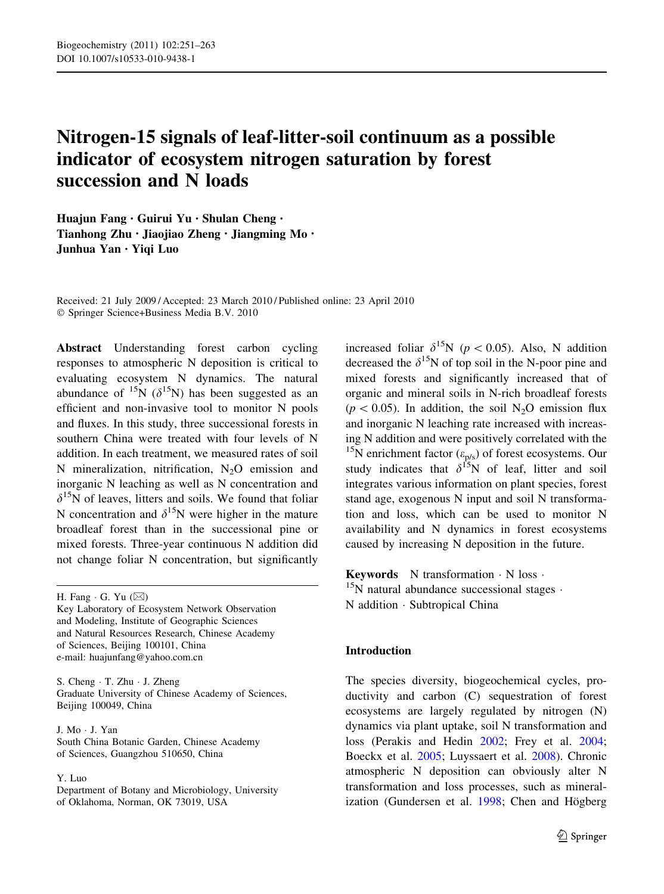# Nitrogen-15 signals of leaf-litter-soil continuum as a possible indicator of ecosystem nitrogen saturation by forest succession and N loads

Huajun Fang • Guirui Yu • Shulan Cheng • Tianhong Zhu • Jiaojiao Zheng • Jiangming Mo • Junhua Yan • Yiqi Luo

Received: 21 July 2009 / Accepted: 23 March 2010 / Published online: 23 April 2010 © Springer Science+Business Media B.V. 2010

Abstract Understanding forest carbon cycling responses to atmospheric N deposition is critical to evaluating ecosystem N dynamics. The natural abundance of <sup>15</sup>N ( $\delta$ <sup>15</sup>N) has been suggested as an efficient and non-invasive tool to monitor N pools and fluxes. In this study, three successional forests in southern China were treated with four levels of N addition. In each treatment, we measured rates of soil N mineralization, nitrification,  $N_2O$  emission and inorganic N leaching as well as N concentration and  $\delta^{15}$ N of leaves, litters and soils. We found that foliar N concentration and  $\delta^{15}N$  were higher in the mature broadleaf forest than in the successional pine or mixed forests. Three-year continuous N addition did not change foliar N concentration, but significantly

H. Fang  $\cdot$  G. Yu ( $\boxtimes$ )

Key Laboratory of Ecosystem Network Observation and Modeling, Institute of Geographic Sciences and Natural Resources Research, Chinese Academy of Sciences, Beijing 100101, China e-mail: huajunfang@yahoo.com.cn

S. Cheng - T. Zhu - J. Zheng Graduate University of Chinese Academy of Sciences, Beijing 100049, China

J. Mo - J. Yan South China Botanic Garden, Chinese Academy of Sciences, Guangzhou 510650, China

#### Y. Luo

Department of Botany and Microbiology, University of Oklahoma, Norman, OK 73019, USA

increased foliar  $\delta^{15}N$  ( $p<0.05$ ). Also, N addition decreased the  $\delta^{15}N$  of top soil in the N-poor pine and mixed forests and significantly increased that of organic and mineral soils in N-rich broadleaf forests  $(p<0.05)$ . In addition, the soil N<sub>2</sub>O emission flux and inorganic N leaching rate increased with increasing N addition and were positively correlated with the <sup>15</sup>N enrichment factor ( $\varepsilon_{p/s}$ ) of forest ecosystems. Our study indicates that  $\delta^{15}N$  of leaf, litter and soil integrates various information on plant species, forest stand age, exogenous N input and soil N transformation and loss, which can be used to monitor N availability and N dynamics in forest ecosystems caused by increasing N deposition in the future.

**Keywords** N transformation  $\cdot$  N loss  $\cdot$  $15$ N natural abundance successional stages  $\cdot$ N addition - Subtropical China

# Introduction

The species diversity, biogeochemical cycles, productivity and carbon (C) sequestration of forest ecosystems are largely regulated by nitrogen (N) dynamics via plant uptake, soil N transformation and loss (Perakis and Hedin [2002;](#page-12-0) Frey et al. [2004](#page-11-0); Boeckx et al. [2005](#page-11-0); Luyssaert et al. [2008](#page-11-0)). Chronic atmospheric N deposition can obviously alter N transformation and loss processes, such as mineralization (Gundersen et al.  $1998$ ; Chen and Högberg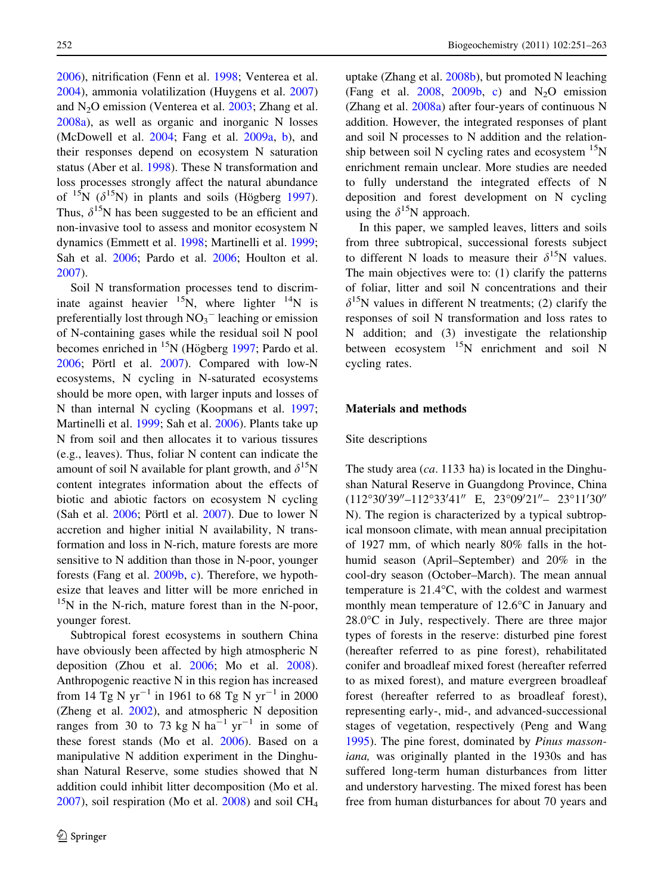[2006\)](#page-11-0), nitrification (Fenn et al. [1998](#page-11-0); Venterea et al. [2004\)](#page-12-0), ammonia volatilization (Huygens et al. [2007\)](#page-11-0) and  $N<sub>2</sub>O$  emission (Venterea et al.  $2003$ ; Zhang et al. [2008a](#page-12-0)), as well as organic and inorganic N losses (McDowell et al. [2004](#page-11-0); Fang et al. [2009a](#page-11-0), [b](#page-11-0)), and their responses depend on ecosystem N saturation status (Aber et al. [1998\)](#page-10-0). These N transformation and loss processes strongly affect the natural abundance of  $^{15}N$  ( $\delta^{15}N$ ) in plants and soils (Högberg [1997](#page-11-0)). Thus,  $\delta^{15}$ N has been suggested to be an efficient and non-invasive tool to assess and monitor ecosystem N dynamics (Emmett et al. [1998](#page-11-0); Martinelli et al. [1999](#page-11-0); Sah et al. [2006](#page-12-0); Pardo et al. [2006](#page-12-0); Houlton et al. [2007\)](#page-11-0).

Soil N transformation processes tend to discriminate against heavier  $^{15}N$ , where lighter  $^{14}N$  is preferentially lost through  $NO<sub>3</sub><sup>-</sup>$  leaching or emission of N-containing gases while the residual soil N pool becomes enriched in  $^{15}N$  (Högberg [1997;](#page-11-0) Pardo et al. [2006;](#page-12-0) Pörtl et al. [2007\)](#page-12-0). Compared with low-N ecosystems, N cycling in N-saturated ecosystems should be more open, with larger inputs and losses of N than internal N cycling (Koopmans et al. [1997](#page-11-0); Martinelli et al. [1999;](#page-11-0) Sah et al. [2006](#page-12-0)). Plants take up N from soil and then allocates it to various tissures (e.g., leaves). Thus, foliar N content can indicate the amount of soil N available for plant growth, and  $\delta^{15}N$ content integrates information about the effects of biotic and abiotic factors on ecosystem N cycling (Sah et al.  $2006$ ; Pörtl et al.  $2007$ ). Due to lower N accretion and higher initial N availability, N transformation and loss in N-rich, mature forests are more sensitive to N addition than those in N-poor, younger forests (Fang et al. [2009b,](#page-11-0) [c\)](#page-11-0). Therefore, we hypothesize that leaves and litter will be more enriched in  $15N$  in the N-rich, mature forest than in the N-poor, younger forest.

Subtropical forest ecosystems in southern China have obviously been affected by high atmospheric N deposition (Zhou et al. [2006](#page-12-0); Mo et al. [2008](#page-12-0)). Anthropogenic reactive N in this region has increased from 14 Tg N  $yr^{-1}$  in 1961 to 68 Tg N  $yr^{-1}$  in 2000 (Zheng et al. [2002](#page-12-0)), and atmospheric N deposition ranges from 30 to 73 kg N  $ha^{-1}$  yr<sup>-1</sup> in some of these forest stands (Mo et al. [2006](#page-12-0)). Based on a manipulative N addition experiment in the Dinghushan Natural Reserve, some studies showed that N addition could inhibit litter decomposition (Mo et al.  $2007$ ), soil respiration (Mo et al.  $2008$ ) and soil CH<sub>4</sub>

uptake (Zhang et al. [2008b](#page-12-0)), but promoted N leaching (Fang et al. [2008,](#page-11-0) [2009b](#page-11-0), [c](#page-11-0)) and  $N_2O$  emission (Zhang et al. [2008a\)](#page-12-0) after four-years of continuous N addition. However, the integrated responses of plant and soil N processes to N addition and the relationship between soil N cycling rates and ecosystem  $^{15}N$ enrichment remain unclear. More studies are needed to fully understand the integrated effects of N deposition and forest development on N cycling using the  $\delta^{15}N$  approach.

In this paper, we sampled leaves, litters and soils from three subtropical, successional forests subject to different N loads to measure their  $\delta^{15}N$  values. The main objectives were to: (1) clarify the patterns of foliar, litter and soil N concentrations and their  $\delta^{15}$ N values in different N treatments; (2) clarify the responses of soil N transformation and loss rates to N addition; and (3) investigate the relationship between ecosystem  $^{15}N$  enrichment and soil N cycling rates.

# Materials and methods

#### Site descriptions

The study area  $(ca. 1133$  ha) is located in the Dinghushan Natural Reserve in Guangdong Province, China  $(112^{\circ}30'39'' - 112^{\circ}33'41''$  E,  $23^{\circ}09'21'' - 23^{\circ}11'30''$ N). The region is characterized by a typical subtropical monsoon climate, with mean annual precipitation of 1927 mm, of which nearly 80% falls in the hothumid season (April–September) and 20% in the cool-dry season (October–March). The mean annual temperature is  $21.4^{\circ}$ C, with the coldest and warmest monthly mean temperature of  $12.6^{\circ}$ C in January and  $28.0^{\circ}$ C in July, respectively. There are three major types of forests in the reserve: disturbed pine forest (hereafter referred to as pine forest), rehabilitated conifer and broadleaf mixed forest (hereafter referred to as mixed forest), and mature evergreen broadleaf forest (hereafter referred to as broadleaf forest), representing early-, mid-, and advanced-successional stages of vegetation, respectively (Peng and Wang [1995\)](#page-12-0). The pine forest, dominated by Pinus massoniana, was originally planted in the 1930s and has suffered long-term human disturbances from litter and understory harvesting. The mixed forest has been free from human disturbances for about 70 years and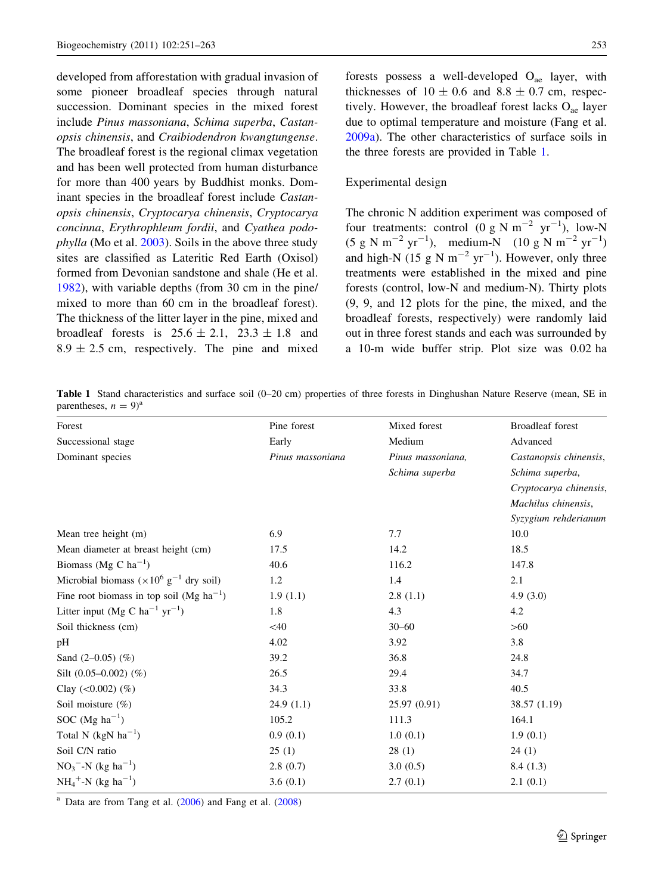<span id="page-2-0"></span>developed from afforestation with gradual invasion of some pioneer broadleaf species through natural succession. Dominant species in the mixed forest include Pinus massoniana, Schima superba, Castanopsis chinensis, and Craibiodendron kwangtungense. The broadleaf forest is the regional climax vegetation and has been well protected from human disturbance for more than 400 years by Buddhist monks. Dominant species in the broadleaf forest include Castanopsis chinensis, Cryptocarya chinensis, Cryptocarya concinna, Erythrophleum fordii, and Cyathea podophylla (Mo et al. [2003\)](#page-12-0). Soils in the above three study sites are classified as Lateritic Red Earth (Oxisol) formed from Devonian sandstone and shale (He et al. [1982\)](#page-11-0), with variable depths (from 30 cm in the pine/ mixed to more than 60 cm in the broadleaf forest). The thickness of the litter layer in the pine, mixed and broadleaf forests is  $25.6 \pm 2.1$ ,  $23.3 \pm 1.8$  and  $8.9 \pm 2.5$  cm, respectively. The pine and mixed

forests possess a well-developed  $O_{ae}$  layer, with thicknesses of  $10 \pm 0.6$  and  $8.8 \pm 0.7$  cm, respectively. However, the broadleaf forest lacks  $O_{ae}$  layer due to optimal temperature and moisture (Fang et al. [2009a](#page-11-0)). The other characteristics of surface soils in the three forests are provided in Table 1.

# Experimental design

The chronic N addition experiment was composed of four treatments: control (0 g N  $m^{-2}$  yr<sup>-1</sup>), low-N  $(5 \text{ g N m}^{-2} \text{ yr}^{-1})$ , medium-N  $(10 \text{ g N m}^{-2} \text{ yr}^{-1})$ and high-N (15 g N  $m^{-2}$  yr<sup>-1</sup>). However, only three treatments were established in the mixed and pine forests (control, low-N and medium-N). Thirty plots (9, 9, and 12 plots for the pine, the mixed, and the broadleaf forests, respectively) were randomly laid out in three forest stands and each was surrounded by a 10-m wide buffer strip. Plot size was 0.02 ha

Table 1 Stand characteristics and surface soil (0–20 cm) properties of three forests in Dinghushan Nature Reserve (mean, SE in parentheses,  $n = 9$ <sup>a</sup>

| Forest                                                      | Pine forest      | Mixed forest      | <b>Broadleaf</b> forest |  |
|-------------------------------------------------------------|------------------|-------------------|-------------------------|--|
| Successional stage                                          | Early            | Medium            | Advanced                |  |
| Dominant species                                            | Pinus massoniana | Pinus massoniana, | Castanopsis chinensis,  |  |
|                                                             |                  | Schima superba    | Schima superba,         |  |
|                                                             |                  |                   | Cryptocarya chinensis,  |  |
|                                                             |                  |                   | Machilus chinensis,     |  |
|                                                             |                  |                   | Syzygium rehderianum    |  |
| Mean tree height (m)                                        | 6.9              | 7.7               | 10.0                    |  |
| Mean diameter at breast height (cm)                         | 17.5             | 14.2              | 18.5                    |  |
| Biomass (Mg C $ha^{-1}$ )                                   | 40.6             | 116.2             | 147.8                   |  |
| Microbial biomass ( $\times 10^6$ g <sup>-1</sup> dry soil) | 1.2              | 1.4               | 2.1                     |  |
| Fine root biomass in top soil (Mg $ha^{-1}$ )               | 1.9(1.1)         | 2.8(1.1)          | 4.9(3.0)                |  |
| Litter input (Mg C ha <sup>-1</sup> yr <sup>-1</sup> )      | 1.8              | 4.3               | 4.2                     |  |
| Soil thickness (cm)                                         | $<$ 40           | $30 - 60$         | $>60$                   |  |
| pH                                                          | 4.02             | 3.92              | 3.8                     |  |
| Sand $(2-0.05)$ $(\%)$                                      | 39.2             | 36.8              | 24.8                    |  |
| Silt $(0.05-0.002)$ $(\%)$                                  | 26.5             | 29.4              | 34.7                    |  |
| Clay $(<0.002)$ $(\%)$                                      | 34.3             | 33.8              | 40.5                    |  |
| Soil moisture $(\%)$                                        | 24.9(1.1)        | 25.97 (0.91)      | 38.57 (1.19)            |  |
| SOC (Mg $ha^{-1}$ )                                         | 105.2            | 111.3             | 164.1                   |  |
| Total N ( $kgN$ ha <sup>-1</sup> )                          | 0.9(0.1)         | 1.0(0.1)          | 1.9(0.1)                |  |
| Soil C/N ratio                                              | 25(1)            | 28(1)             | 24(1)                   |  |
| $NO_3$ <sup>-</sup> -N (kg ha <sup>-1</sup> )               | 2.8(0.7)         | 3.0(0.5)          | 8.4(1.3)                |  |
| $NH_4^+$ -N (kg ha <sup>-1</sup> )                          | 3.6(0.1)         | 2.7(0.1)          | 2.1(0.1)                |  |

 $a$  Data are from Tang et al.  $(2006)$  $(2006)$  $(2006)$  and Fang et al.  $(2008)$  $(2008)$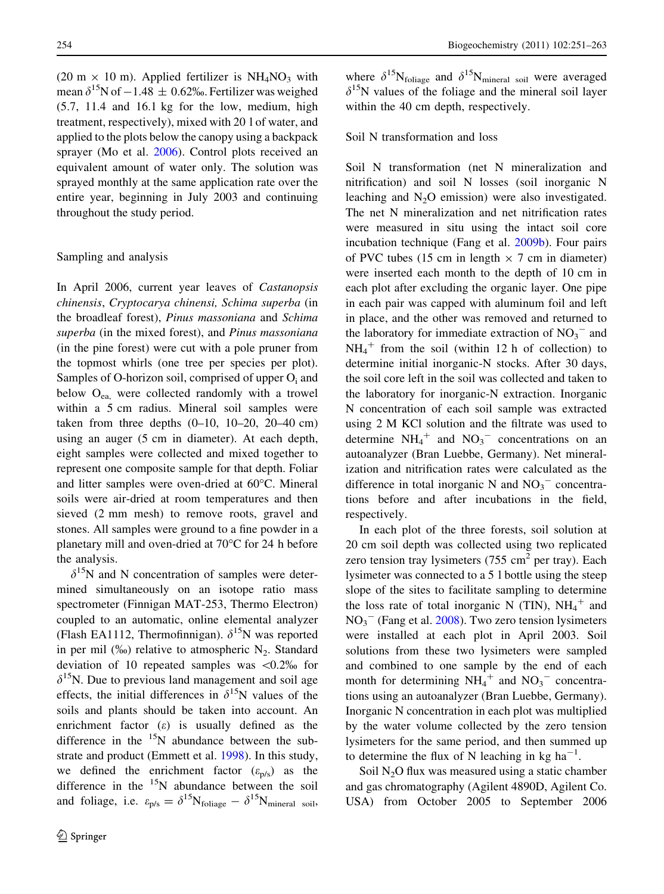(20 m  $\times$  10 m). Applied fertilizer is NH<sub>4</sub>NO<sub>3</sub> with mean  $\delta^{15}$ N of  $-1.48 \pm 0.62$ %. Fertilizer was weighed (5.7, 11.4 and 16.1 kg for the low, medium, high treatment, respectively), mixed with 20 l of water, and applied to the plots below the canopy using a backpack sprayer (Mo et al. [2006\)](#page-12-0). Control plots received an equivalent amount of water only. The solution was sprayed monthly at the same application rate over the entire year, beginning in July 2003 and continuing throughout the study period.

# Sampling and analysis

In April 2006, current year leaves of Castanopsis chinensis, Cryptocarya chinensi, Schima superba (in the broadleaf forest), Pinus massoniana and Schima superba (in the mixed forest), and Pinus massoniana (in the pine forest) were cut with a pole pruner from the topmost whirls (one tree per species per plot). Samples of O-horizon soil, comprised of upper  $O_i$  and below  $O_{ea}$ , were collected randomly with a trowel within a 5 cm radius. Mineral soil samples were taken from three depths  $(0-10, 10-20, 20-40)$  cm using an auger (5 cm in diameter). At each depth, eight samples were collected and mixed together to represent one composite sample for that depth. Foliar and litter samples were oven-dried at  $60^{\circ}$ C. Mineral soils were air-dried at room temperatures and then sieved (2 mm mesh) to remove roots, gravel and stones. All samples were ground to a fine powder in a planetary mill and oven-dried at  $70^{\circ}$ C for 24 h before the analysis.

 $\delta^{15}$ N and N concentration of samples were determined simultaneously on an isotope ratio mass spectrometer (Finnigan MAT-253, Thermo Electron) coupled to an automatic, online elemental analyzer (Flash EA1112, Thermofinnigan).  $\delta^{15}N$  was reported in per mil  $(\%_0)$  relative to atmospheric N<sub>2</sub>. Standard deviation of 10 repeated samples was  $\langle 0.2 \rangle$  for  $\delta^{15}$ N. Due to previous land management and soil age effects, the initial differences in  $\delta^{15}N$  values of the soils and plants should be taken into account. An enrichment factor (e) is usually defined as the difference in the  $15N$  abundance between the substrate and product (Emmett et al. [1998\)](#page-11-0). In this study, we defined the enrichment factor  $(\varepsilon_{p/s})$  as the difference in the  $15N$  abundance between the soil and foliage, i.e.  $\varepsilon_{p/s} = \delta^{15} N_{\text{foliage}} - \delta^{15} N_{\text{mineral soil}}$ , where  $\delta^{15}N_{\text{foliage}}$  and  $\delta^{15}N_{\text{mineral soil}}$  were averaged  $\delta^{15}$ N values of the foliage and the mineral soil layer within the 40 cm depth, respectively.

# Soil N transformation and loss

Soil N transformation (net N mineralization and nitrification) and soil N losses (soil inorganic N leaching and  $N_2O$  emission) were also investigated. The net N mineralization and net nitrification rates were measured in situ using the intact soil core incubation technique (Fang et al. [2009b](#page-11-0)). Four pairs of PVC tubes (15 cm in length  $\times$  7 cm in diameter) were inserted each month to the depth of 10 cm in each plot after excluding the organic layer. One pipe in each pair was capped with aluminum foil and left in place, and the other was removed and returned to the laboratory for immediate extraction of  $NO<sub>3</sub><sup>-</sup>$  and  $NH_4^+$  from the soil (within 12 h of collection) to determine initial inorganic-N stocks. After 30 days, the soil core left in the soil was collected and taken to the laboratory for inorganic-N extraction. Inorganic N concentration of each soil sample was extracted using 2 M KCl solution and the filtrate was used to determine  $NH_4^+$  and  $NO_3^-$  concentrations on an autoanalyzer (Bran Luebbe, Germany). Net mineralization and nitrification rates were calculated as the difference in total inorganic N and  $NO<sub>3</sub><sup>-</sup>$  concentrations before and after incubations in the field, respectively.

In each plot of the three forests, soil solution at 20 cm soil depth was collected using two replicated zero tension tray lysimeters  $(755 \text{ cm}^2 \text{ per tray})$ . Each lysimeter was connected to a 5 l bottle using the steep slope of the sites to facilitate sampling to determine the loss rate of total inorganic N (TIN),  $NH_4^+$  and  $NO<sub>3</sub><sup>-</sup>$  (Fang et al. [2008\)](#page-11-0). Two zero tension lysimeters were installed at each plot in April 2003. Soil solutions from these two lysimeters were sampled and combined to one sample by the end of each month for determining  $NH_4^+$  and  $NO_3^-$  concentrations using an autoanalyzer (Bran Luebbe, Germany). Inorganic N concentration in each plot was multiplied by the water volume collected by the zero tension lysimeters for the same period, and then summed up to determine the flux of N leaching in  $kg \text{ ha}^{-1}$ .

Soil  $N_2O$  flux was measured using a static chamber and gas chromatography (Agilent 4890D, Agilent Co. USA) from October 2005 to September 2006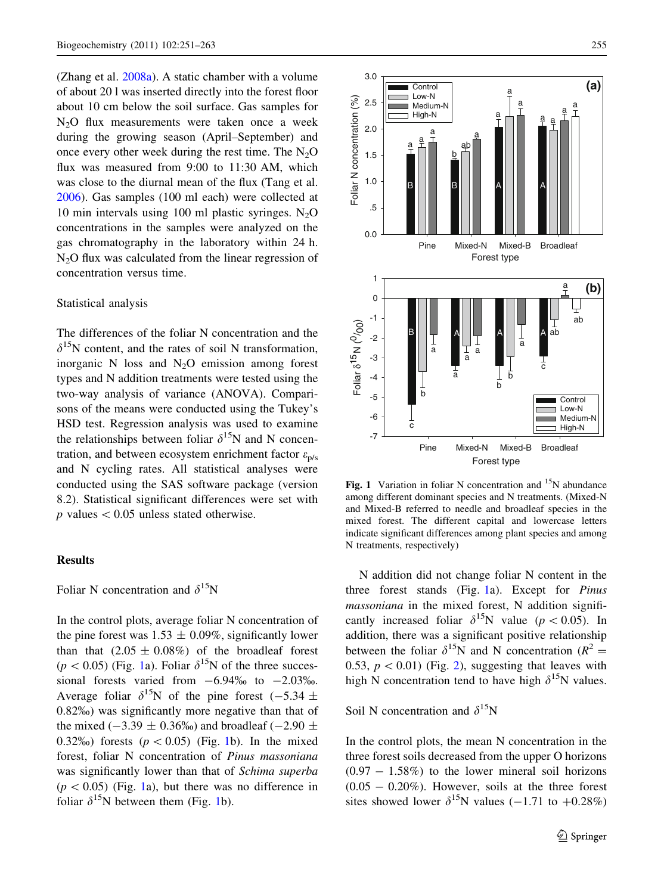<span id="page-4-0"></span>(Zhang et al. [2008a](#page-12-0)). A static chamber with a volume of about 20 l was inserted directly into the forest floor about 10 cm below the soil surface. Gas samples for  $N<sub>2</sub>O$  flux measurements were taken once a week during the growing season (April–September) and once every other week during the rest time. The  $N_2O$ flux was measured from 9:00 to 11:30 AM, which was close to the diurnal mean of the flux (Tang et al. [2006\)](#page-12-0). Gas samples (100 ml each) were collected at 10 min intervals using 100 ml plastic syringes.  $N_2O$ concentrations in the samples were analyzed on the gas chromatography in the laboratory within 24 h.  $N<sub>2</sub>O$  flux was calculated from the linear regression of concentration versus time.

# Statistical analysis

The differences of the foliar N concentration and the  $\delta^{15}$ N content, and the rates of soil N transformation, inorganic N loss and  $N_2O$  emission among forest types and N addition treatments were tested using the two-way analysis of variance (ANOVA). Comparisons of the means were conducted using the Tukey's HSD test. Regression analysis was used to examine the relationships between foliar  $\delta^{15}N$  and N concentration, and between ecosystem enrichment factor  $\varepsilon_{p/s}$ and N cycling rates. All statistical analyses were conducted using the SAS software package (version 8.2). Statistical significant differences were set with  $p$  values  $< 0.05$  unless stated otherwise.

#### Results

Foliar N concentration and  $\delta^{15}N$ 

In the control plots, average foliar N concentration of the pine forest was  $1.53 \pm 0.09\%$ , significantly lower than that  $(2.05 \pm 0.08\%)$  of the broadleaf forest  $(p < 0.05)$  (Fig. 1a). Foliar  $\delta^{15}N$  of the three successional forests varied from  $-6.94\%$  to  $-2.03\%$ . Average foliar  $\delta^{15}N$  of the pine forest (-5.34  $\pm$ 0.82%) was significantly more negative than that of the mixed ( $-3.39 \pm 0.36\%$ ) and broadleaf ( $-2.90 \pm$ 0.32\% (0.05) (Fig. 1b). In the mixed forest, foliar N concentration of Pinus massoniana was significantly lower than that of Schima superba  $(p < 0.05)$  (Fig. 1a), but there was no difference in foliar  $\delta^{15}N$  between them (Fig. 1b).



Fig. 1 Variation in foliar N concentration and  $15N$  abundance among different dominant species and N treatments. (Mixed-N and Mixed-B referred to needle and broadleaf species in the mixed forest. The different capital and lowercase letters indicate significant differences among plant species and among N treatments, respectively)

N addition did not change foliar N content in the three forest stands (Fig. 1a). Except for Pinus massoniana in the mixed forest, N addition significantly increased foliar  $\delta^{15}N$  value (p < 0.05). In addition, there was a significant positive relationship between the foliar  $\delta^{15}N$  and N concentration ( $R^2 =$ 0.53,  $p < 0.01$ ) (Fig. [2\)](#page-5-0), suggesting that leaves with high N concentration tend to have high  $\delta^{15}N$  values.

Soil N concentration and  $\delta^{15}N$ 

In the control plots, the mean N concentration in the three forest soils decreased from the upper O horizons  $(0.97 - 1.58\%)$  to the lower mineral soil horizons  $(0.05 - 0.20\%)$ . However, soils at the three forest sites showed lower  $\delta^{15}N$  values (-1.71 to +0.28%)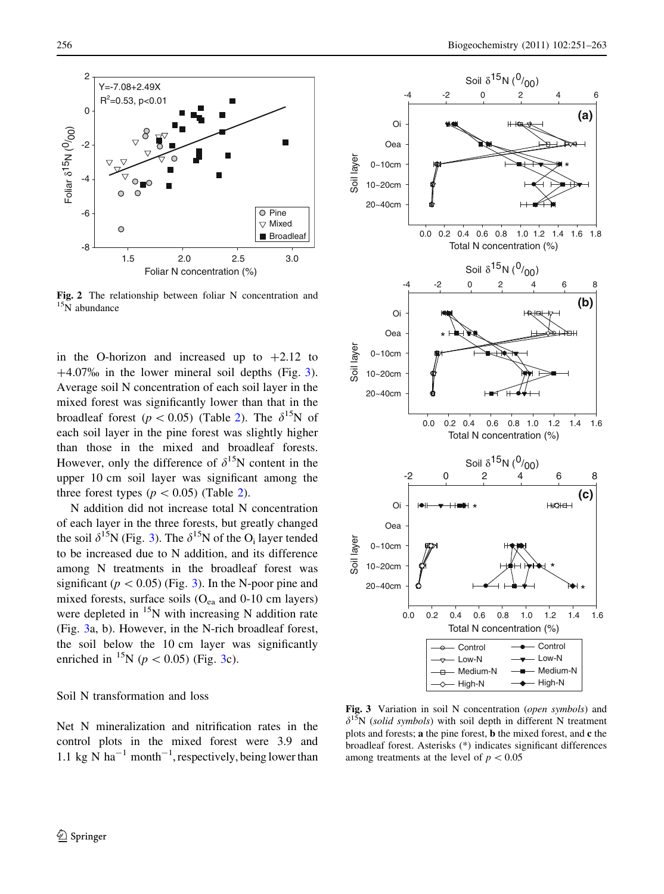<span id="page-5-0"></span>

Fig. 2 The relationship between foliar N concentration and <sup>15</sup>N abundance

in the O-horizon and increased up to  $+2.12$  to  $+4.07\%$  in the lower mineral soil depths (Fig. 3). Average soil N concentration of each soil layer in the mixed forest was significantly lower than that in the broadleaf forest ( $p < 0.05$ ) (Table [2\)](#page-6-0). The  $\delta^{15}N$  of each soil layer in the pine forest was slightly higher than those in the mixed and broadleaf forests. However, only the difference of  $\delta^{15}N$  content in the upper 10 cm soil layer was significant among the three forest types ( $p < 0.05$ ) (Table [2\)](#page-6-0).

N addition did not increase total N concentration of each layer in the three forests, but greatly changed the soil  $\delta^{15}N$  (Fig. 3). The  $\delta^{15}N$  of the O<sub>i</sub> layer tended to be increased due to N addition, and its difference among N treatments in the broadleaf forest was significant ( $p < 0.05$ ) (Fig. 3). In the N-poor pine and mixed forests, surface soils  $(O_{ea}$  and 0-10 cm layers) were depleted in  $\frac{15}{15}N$  with increasing N addition rate (Fig. 3a, b). However, in the N-rich broadleaf forest, the soil below the 10 cm layer was significantly enriched in <sup>15</sup>N ( $p < 0.05$ ) (Fig. 3c).

## Soil N transformation and loss

Net N mineralization and nitrification rates in the control plots in the mixed forest were 3.9 and 1.1 kg N ha<sup>-1</sup> month<sup>-1</sup>, respectively, being lower than



Fig. 3 Variation in soil N concentration (open symbols) and  $\delta^{15}N$  (solid symbols) with soil depth in different N treatment plots and forests; a the pine forest, b the mixed forest, and c the broadleaf forest. Asterisks (\*) indicates significant differences among treatments at the level of  $p < 0.05$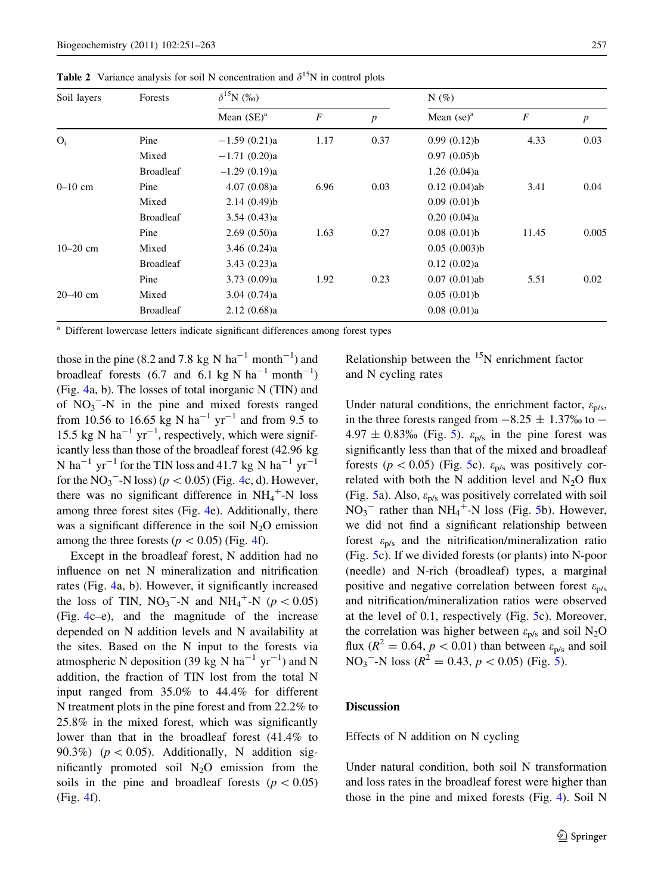| Soil layers  | Forests          | $\delta^{15}N$ (%) |                  |                  | $N(\%)$         |       |                  |
|--------------|------------------|--------------------|------------------|------------------|-----------------|-------|------------------|
|              |                  | Mean $(SE)^a$      | $\boldsymbol{F}$ | $\boldsymbol{p}$ | Mean $(se)^a$   | F     | $\boldsymbol{p}$ |
| $O_i$        | Pine             | $-1.59(0.21)a$     | 1.17             | 0.37             | 0.99(0.12)b     | 4.33  | 0.03             |
|              | Mixed            | $-1.71(0.20)a$     |                  |                  | 0.97(0.05)b     |       |                  |
|              | <b>Broadleaf</b> | $-1.29(0.19)a$     |                  |                  | 1.26(0.04)a     |       |                  |
| $0 - 10$ cm  | Pine             | 4.07(0.08)a        | 6.96             | 0.03             | $0.12(0.04)$ ab | 3.41  | 0.04             |
|              | Mixed            | 2.14(0.49)b        |                  |                  | 0.09(0.01)b     |       |                  |
|              | <b>Broadleaf</b> | 3.54(0.43)a        |                  |                  | 0.20(0.04)a     |       |                  |
|              | Pine             | 2.69(0.50)a        | 1.63             | 0.27             | 0.08(0.01)b     | 11.45 | 0.005            |
| $10 - 20$ cm | Mixed            | 3.46(0.24)a        |                  |                  | 0.05(0.003)b    |       |                  |
|              | <b>Broadleaf</b> | 3.43(0.23)a        |                  |                  | 0.12(0.02)a     |       |                  |
|              | Pine             | 3.73(0.09)a        | 1.92             | 0.23             | $0.07(0.01)$ ab | 5.51  | 0.02             |
| $20 - 40$ cm | Mixed            | 3.04(0.74)a        |                  |                  | 0.05(0.01)b     |       |                  |
|              | <b>Broadleaf</b> | 2.12(0.68)a        |                  |                  | 0.08(0.01)a     |       |                  |

<span id="page-6-0"></span>**Table 2** Variance analysis for soil N concentration and  $\delta^{15}N$  in control plots

Different lowercase letters indicate significant differences among forest types

those in the pine (8.2 and 7.8 kg N  $ha^{-1}$  month<sup>-1</sup>) and broadleaf forests  $(6.7 \text{ and } 6.1 \text{ kg N ha}^{-1} \text{ month}^{-1})$ (Fig. [4a](#page-7-0), b). The losses of total inorganic N (TIN) and of  $NO<sub>3</sub>$ <sup>-</sup>-N in the pine and mixed forests ranged from 10.56 to 16.65 kg N ha<sup>-1</sup> yr<sup>-1</sup> and from 9.5 to 15.5 kg N ha<sup>-1</sup> yr<sup>-1</sup>, respectively, which were significantly less than those of the broadleaf forest (42.96 kg N ha<sup>-1</sup> yr<sup>-1</sup> for the TIN loss and 41.7 kg N ha<sup>-1</sup> yr<sup>-1</sup> for the  $NO_3$ <sup>-</sup>-N loss) ( $p < 0.05$ ) (Fig. [4c](#page-7-0), d). However, there was no significant difference in  $NH_4^+$ -N loss among three forest sites (Fig. [4](#page-7-0)e). Additionally, there was a significant difference in the soil  $N_2O$  emission among the three forests ( $p < 0.05$ ) (Fig. [4](#page-7-0)f).

Except in the broadleaf forest, N addition had no influence on net N mineralization and nitrification rates (Fig. [4](#page-7-0)a, b). However, it significantly increased the loss of TIN,  $NO_3$ <sup>-</sup>-N and NH<sub>4</sub><sup>+</sup>-N ( $p < 0.05$ ) (Fig. [4](#page-7-0)c–e), and the magnitude of the increase depended on N addition levels and N availability at the sites. Based on the N input to the forests via atmospheric N deposition (39 kg N ha<sup>-1</sup> yr<sup>-1</sup>) and N addition, the fraction of TIN lost from the total N input ranged from 35.0% to 44.4% for different N treatment plots in the pine forest and from 22.2% to 25.8% in the mixed forest, which was significantly lower than that in the broadleaf forest (41.4% to 90.3%) ( $p < 0.05$ ). Additionally, N addition significantly promoted soil  $N_2O$  emission from the soils in the pine and broadleaf forests ( $p < 0.05$ ) (Fig. [4](#page-7-0)f).

Relationship between the  $15N$  enrichment factor and N cycling rates

Under natural conditions, the enrichment factor,  $\varepsilon_{p/s}$ , in the three forests ranged from  $-8.25 \pm 1.37\%$  to  $4.97 \pm 0.83\%$  (Fig. [5\)](#page-8-0).  $\varepsilon_{p/s}$  in the pine forest was significantly less than that of the mixed and broadleaf forests ( $p < 0.05$ ) (Fig. [5c](#page-8-0)).  $\varepsilon_{p/s}$  was positively correlated with both the N addition level and  $N_2O$  flux (Fig. [5](#page-8-0)a). Also,  $\varepsilon_{p/s}$  was positively correlated with soil  $NO<sub>3</sub><sup>-</sup>$  rather than NH<sub>4</sub><sup>+</sup>-N loss (Fig. [5](#page-8-0)b). However, we did not find a significant relationship between forest  $\varepsilon_{p/s}$  and the nitrification/mineralization ratio (Fig. [5](#page-8-0)c). If we divided forests (or plants) into N-poor (needle) and N-rich (broadleaf) types, a marginal positive and negative correlation between forest  $\varepsilon_{p/s}$ and nitrification/mineralization ratios were observed at the level of 0.1, respectively (Fig. [5c](#page-8-0)). Moreover, the correlation was higher between  $\varepsilon_{p/s}$  and soil N<sub>2</sub>O flux ( $R^2 = 0.64$ ,  $p < 0.01$ ) than between  $\varepsilon_{p/s}$  and soil  $NO<sub>3</sub>$ <sup>-</sup>-N loss ( $R<sup>2</sup> = 0.43$ ,  $p < 0.05$  $p < 0.05$ ) (Fig. 5).

## **Discussion**

Effects of N addition on N cycling

Under natural condition, both soil N transformation and loss rates in the broadleaf forest were higher than those in the pine and mixed forests (Fig. [4\)](#page-7-0). Soil N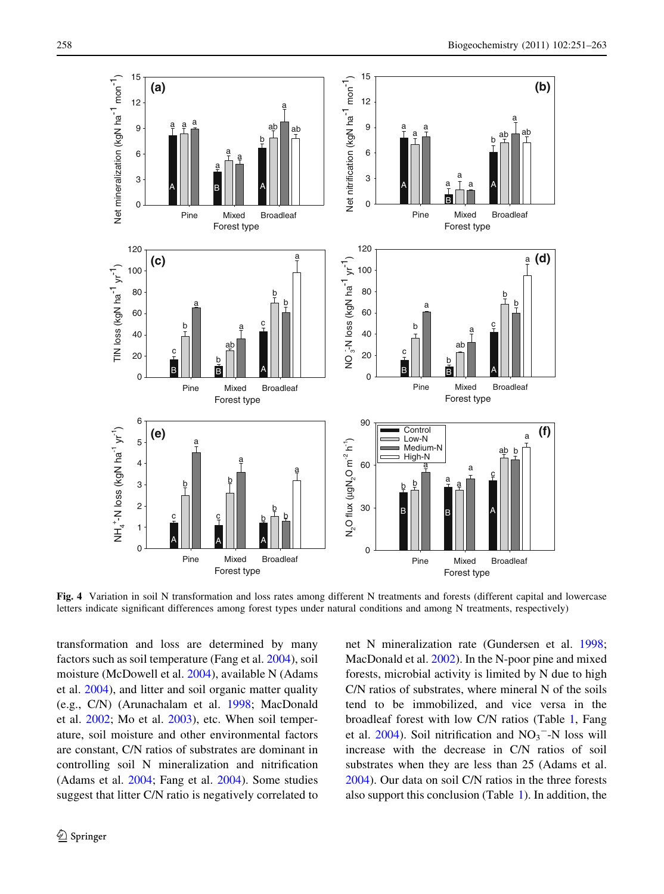<span id="page-7-0"></span>

Fig. 4 Variation in soil N transformation and loss rates among different N treatments and forests (different capital and lowercase letters indicate significant differences among forest types under natural conditions and among N treatments, respectively)

transformation and loss are determined by many factors such as soil temperature (Fang et al. [2004\)](#page-11-0), soil moisture (McDowell et al. [2004](#page-11-0)), available N (Adams et al. [2004\)](#page-10-0), and litter and soil organic matter quality (e.g., C/N) (Arunachalam et al. [1998](#page-10-0); MacDonald et al. [2002;](#page-11-0) Mo et al. [2003\)](#page-12-0), etc. When soil temperature, soil moisture and other environmental factors are constant, C/N ratios of substrates are dominant in controlling soil N mineralization and nitrification (Adams et al. [2004;](#page-10-0) Fang et al. [2004](#page-11-0)). Some studies suggest that litter C/N ratio is negatively correlated to net N mineralization rate (Gundersen et al. [1998](#page-11-0); MacDonald et al. [2002\)](#page-11-0). In the N-poor pine and mixed forests, microbial activity is limited by N due to high C/N ratios of substrates, where mineral N of the soils tend to be immobilized, and vice versa in the broadleaf forest with low C/N ratios (Table [1](#page-2-0), Fang et al.  $2004$ ). Soil nitrification and  $NO<sub>3</sub><sup>-</sup>-N$  loss will increase with the decrease in C/N ratios of soil substrates when they are less than 25 (Adams et al. [2004\)](#page-10-0). Our data on soil C/N ratios in the three forests also support this conclusion (Table [1\)](#page-2-0). In addition, the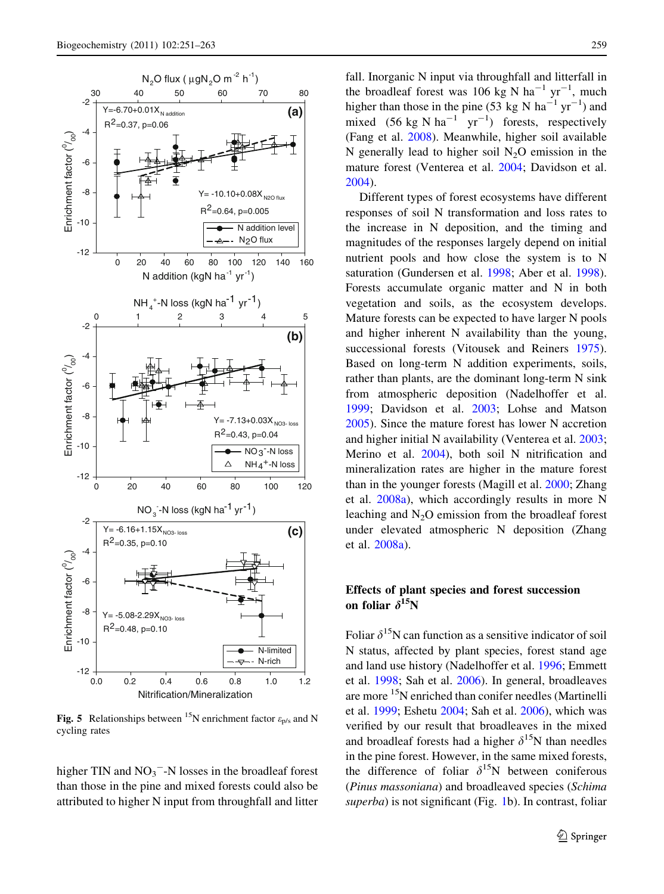<span id="page-8-0"></span>

**Fig. 5** Relationships between <sup>15</sup>N enrichment factor  $\varepsilon_{\text{p/s}}$  and N cycling rates

higher TIN and  $NO<sub>3</sub><sup>-</sup>-N$  losses in the broadleaf forest than those in the pine and mixed forests could also be attributed to higher N input from throughfall and litter fall. Inorganic N input via throughfall and litterfall in the broadleaf forest was 106 kg N ha<sup>-1</sup> yr<sup>-1</sup>, much higher than those in the pine (53 kg N ha<sup>-1</sup> yr<sup>-1</sup>) and mixed  $(56 \text{ kg N ha}^{-1} \text{ yr}^{-1})$  forests, respectively (Fang et al. [2008](#page-11-0)). Meanwhile, higher soil available N generally lead to higher soil  $N_2O$  emission in the mature forest (Venterea et al. [2004;](#page-12-0) Davidson et al. [2004\)](#page-11-0).

Different types of forest ecosystems have different responses of soil N transformation and loss rates to the increase in N deposition, and the timing and magnitudes of the responses largely depend on initial nutrient pools and how close the system is to N saturation (Gundersen et al. [1998](#page-11-0); Aber et al. [1998](#page-10-0)). Forests accumulate organic matter and N in both vegetation and soils, as the ecosystem develops. Mature forests can be expected to have larger N pools and higher inherent N availability than the young, successional forests (Vitousek and Reiners [1975](#page-12-0)). Based on long-term N addition experiments, soils, rather than plants, are the dominant long-term N sink from atmospheric deposition (Nadelhoffer et al. [1999;](#page-12-0) Davidson et al. [2003](#page-11-0); Lohse and Matson [2005\)](#page-11-0). Since the mature forest has lower N accretion and higher initial N availability (Venterea et al. [2003;](#page-12-0) Merino et al. [2004](#page-11-0)), both soil N nitrification and mineralization rates are higher in the mature forest than in the younger forests (Magill et al. [2000](#page-11-0); Zhang et al. [2008a](#page-12-0)), which accordingly results in more N leaching and  $N<sub>2</sub>O$  emission from the broadleaf forest under elevated atmospheric N deposition (Zhang et al. [2008a](#page-12-0)).

# Effects of plant species and forest succession on foliar  $\delta^{15}N$

Foliar  $\delta^{15}N$  can function as a sensitive indicator of soil N status, affected by plant species, forest stand age and land use history (Nadelhoffer et al. [1996](#page-12-0); Emmett et al. [1998](#page-11-0); Sah et al. [2006](#page-12-0)). In general, broadleaves are more <sup>15</sup>N enriched than conifer needles (Martinelli et al. [1999](#page-11-0); Eshetu [2004](#page-11-0); Sah et al. [2006](#page-12-0)), which was verified by our result that broadleaves in the mixed and broadleaf forests had a higher  $\delta^{15}N$  than needles in the pine forest. However, in the same mixed forests, the difference of foliar  $\delta^{15}N$  between coniferous (Pinus massoniana) and broadleaved species (Schima superba) is not significant (Fig. [1](#page-4-0)b). In contrast, foliar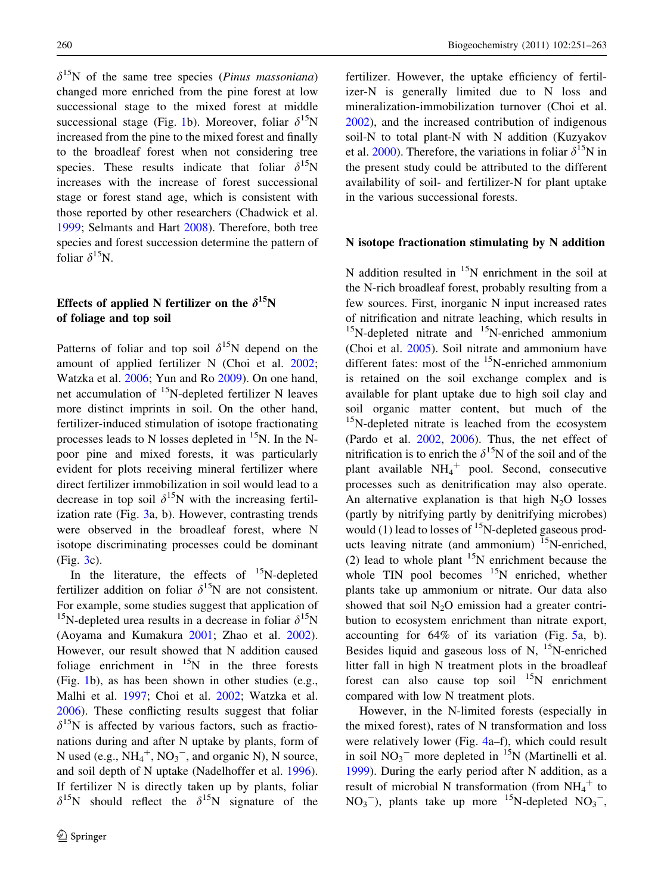$\delta^{15}$ N of the same tree species (*Pinus massoniana*) changed more enriched from the pine forest at low successional stage to the mixed forest at middle successional stage (Fig. [1](#page-4-0)b). Moreover, foliar  $\delta^{15}N$ increased from the pine to the mixed forest and finally to the broadleaf forest when not considering tree species. These results indicate that foliar  $\delta^{15}N$ increases with the increase of forest successional stage or forest stand age, which is consistent with those reported by other researchers (Chadwick et al. [1999;](#page-11-0) Selmants and Hart [2008\)](#page-12-0). Therefore, both tree species and forest succession determine the pattern of foliar  $\delta^{15}$ N.

# Effects of applied N fertilizer on the  $\delta^{15}N$ of foliage and top soil

Patterns of foliar and top soil  $\delta^{15}N$  depend on the amount of applied fertilizer N (Choi et al. [2002](#page-11-0); Watzka et al. [2006;](#page-12-0) Yun and Ro [2009\)](#page-12-0). On one hand, net accumulation of 15N-depleted fertilizer N leaves more distinct imprints in soil. On the other hand, fertilizer-induced stimulation of isotope fractionating processes leads to N losses depleted in  $^{15}N$ . In the Npoor pine and mixed forests, it was particularly evident for plots receiving mineral fertilizer where direct fertilizer immobilization in soil would lead to a decrease in top soil  $\delta^{15}N$  with the increasing fertilization rate (Fig. [3](#page-5-0)a, b). However, contrasting trends were observed in the broadleaf forest, where N isotope discriminating processes could be dominant (Fig. [3](#page-5-0)c).

In the literature, the effects of  $^{15}$ N-depleted fertilizer addition on foliar  $\delta^{15}N$  are not consistent. For example, some studies suggest that application of <sup>15</sup>N-depleted urea results in a decrease in foliar  $\delta^{15}N$ (Aoyama and Kumakura [2001;](#page-10-0) Zhao et al. [2002](#page-12-0)). However, our result showed that N addition caused foliage enrichment in  $^{15}N$  in the three forests (Fig. [1](#page-4-0)b), as has been shown in other studies (e.g., Malhi et al. [1997](#page-11-0); Choi et al. [2002](#page-11-0); Watzka et al. [2006\)](#page-12-0). These conflicting results suggest that foliar  $\delta^{15}$ N is affected by various factors, such as fractionations during and after N uptake by plants, form of N used (e.g.,  $NH_4^+$ ,  $NO_3^-$ , and organic N), N source, and soil depth of N uptake (Nadelhoffer et al. [1996](#page-12-0)). If fertilizer N is directly taken up by plants, foliar  $\delta^{15}N$  should reflect the  $\delta^{15}N$  signature of the fertilizer. However, the uptake efficiency of fertilizer-N is generally limited due to N loss and mineralization-immobilization turnover (Choi et al. [2002\)](#page-11-0), and the increased contribution of indigenous soil-N to total plant-N with N addition (Kuzyakov et al. [2000\)](#page-11-0). Therefore, the variations in foliar  $\delta^{15}N$  in the present study could be attributed to the different availability of soil- and fertilizer-N for plant uptake in the various successional forests.

# N isotope fractionation stimulating by N addition

N addition resulted in  $15N$  enrichment in the soil at the N-rich broadleaf forest, probably resulting from a few sources. First, inorganic N input increased rates of nitrification and nitrate leaching, which results in  $15$ N-depleted nitrate and  $15$ N-enriched ammonium (Choi et al. [2005\)](#page-11-0). Soil nitrate and ammonium have different fates: most of the  $15$ N-enriched ammonium is retained on the soil exchange complex and is available for plant uptake due to high soil clay and soil organic matter content, but much of the  $15$ N-depleted nitrate is leached from the ecosystem (Pardo et al. [2002,](#page-12-0) [2006](#page-12-0)). Thus, the net effect of nitrification is to enrich the  $\delta^{15}N$  of the soil and of the plant available  $NH_4^+$  pool. Second, consecutive processes such as denitrification may also operate. An alternative explanation is that high  $N_2O$  losses (partly by nitrifying partly by denitrifying microbes) would (1) lead to losses of  $^{15}$ N-depleted gaseous products leaving nitrate (and ammonium)  $^{15}$ N-enriched, (2) lead to whole plant  $15N$  enrichment because the whole TIN pool becomes  $15N$  enriched, whether plants take up ammonium or nitrate. Our data also showed that soil  $N<sub>2</sub>O$  emission had a greater contribution to ecosystem enrichment than nitrate export, accounting for 64% of its variation (Fig. [5](#page-8-0)a, b). Besides liquid and gaseous loss of N,  $^{15}$ N-enriched litter fall in high N treatment plots in the broadleaf forest can also cause top soil  $15N$  enrichment compared with low N treatment plots.

However, in the N-limited forests (especially in the mixed forest), rates of N transformation and loss were relatively lower (Fig. [4a](#page-7-0)–f), which could result in soil  $NO<sub>3</sub><sup>-</sup>$  more depleted in <sup>15</sup>N (Martinelli et al. [1999\)](#page-11-0). During the early period after N addition, as a result of microbial N transformation (from  $NH_4^+$  to  $NO<sub>3</sub><sup>-</sup>$ ), plants take up more <sup>15</sup>N-depleted  $NO<sub>3</sub><sup>-</sup>$ ,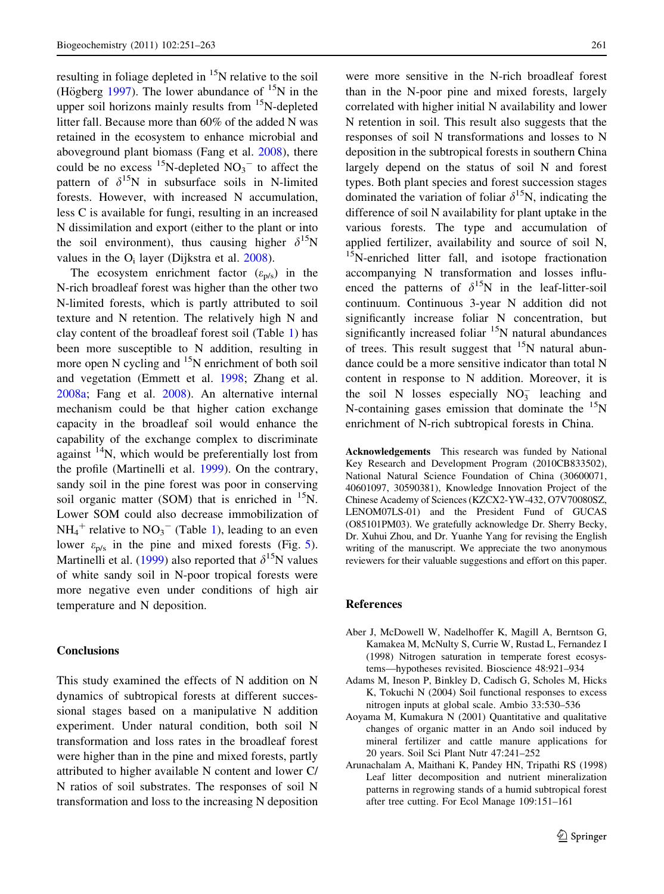<span id="page-10-0"></span>resulting in foliage depleted in  $^{15}N$  relative to the soil (Högberg [1997](#page-11-0)). The lower abundance of  $^{15}N$  in the upper soil horizons mainly results from  $15N$ -depleted litter fall. Because more than 60% of the added N was retained in the ecosystem to enhance microbial and aboveground plant biomass (Fang et al. [2008\)](#page-11-0), there could be no excess  $^{15}$ N-depleted NO<sub>3</sub><sup>-</sup> to affect the pattern of  $\delta^{15}N$  in subsurface soils in N-limited forests. However, with increased N accumulation, less C is available for fungi, resulting in an increased N dissimilation and export (either to the plant or into the soil environment), thus causing higher  $\delta^{15}N$ values in the  $O_i$  layer (Dijkstra et al. [2008\)](#page-11-0).

The ecosystem enrichment factor  $(\varepsilon_{p/s})$  in the N-rich broadleaf forest was higher than the other two N-limited forests, which is partly attributed to soil texture and N retention. The relatively high N and clay content of the broadleaf forest soil (Table [1\)](#page-2-0) has been more susceptible to N addition, resulting in more open  $N$  cycling and  $15N$  enrichment of both soil and vegetation (Emmett et al. [1998](#page-11-0); Zhang et al. [2008a](#page-12-0); Fang et al. [2008\)](#page-11-0). An alternative internal mechanism could be that higher cation exchange capacity in the broadleaf soil would enhance the capability of the exchange complex to discriminate against  $14N$ , which would be preferentially lost from the profile (Martinelli et al. [1999\)](#page-11-0). On the contrary, sandy soil in the pine forest was poor in conserving soil organic matter (SOM) that is enriched in  $^{15}$ N. Lower SOM could also decrease immobilization of  $NH_4^+$  relative to  $NO_3^-$  (Table [1\)](#page-2-0), leading to an even lower  $\varepsilon_{p/s}$  in the pine and mixed forests (Fig. [5](#page-8-0)). Martinelli et al. [\(1999](#page-11-0)) also reported that  $\delta^{15}N$  values of white sandy soil in N-poor tropical forests were more negative even under conditions of high air temperature and N deposition.

# Conclusions

This study examined the effects of N addition on N dynamics of subtropical forests at different successional stages based on a manipulative N addition experiment. Under natural condition, both soil N transformation and loss rates in the broadleaf forest were higher than in the pine and mixed forests, partly attributed to higher available N content and lower C/ N ratios of soil substrates. The responses of soil N transformation and loss to the increasing N deposition

were more sensitive in the N-rich broadleaf forest than in the N-poor pine and mixed forests, largely correlated with higher initial N availability and lower N retention in soil. This result also suggests that the responses of soil N transformations and losses to N deposition in the subtropical forests in southern China largely depend on the status of soil N and forest types. Both plant species and forest succession stages dominated the variation of foliar  $\delta^{15}N$ , indicating the difference of soil N availability for plant uptake in the various forests. The type and accumulation of applied fertilizer, availability and source of soil N, <sup>15</sup>N-enriched litter fall, and isotope fractionation accompanying N transformation and losses influenced the patterns of  $\delta^{15}N$  in the leaf-litter-soil continuum. Continuous 3-year N addition did not significantly increase foliar N concentration, but significantly increased foliar  $15N$  natural abundances of trees. This result suggest that  $15N$  natural abundance could be a more sensitive indicator than total N content in response to N addition. Moreover, it is the soil N losses especially  $NO_3^-$  leaching and N-containing gases emission that dominate the  $15<sub>N</sub>$ enrichment of N-rich subtropical forests in China.

Acknowledgements This research was funded by National Key Research and Development Program (2010CB833502), National Natural Science Foundation of China (30600071, 40601097, 30590381), Knowledge Innovation Project of the Chinese Academy of Sciences (KZCX2-YW-432, O7V70080SZ, LENOM07LS-01) and the President Fund of GUCAS (O85101PM03). We gratefully acknowledge Dr. Sherry Becky, Dr. Xuhui Zhou, and Dr. Yuanhe Yang for revising the English writing of the manuscript. We appreciate the two anonymous reviewers for their valuable suggestions and effort on this paper.

#### References

- Aber J, McDowell W, Nadelhoffer K, Magill A, Berntson G, Kamakea M, McNulty S, Currie W, Rustad L, Fernandez I (1998) Nitrogen saturation in temperate forest ecosystems—hypotheses revisited. Bioscience 48:921–934
- Adams M, Ineson P, Binkley D, Cadisch G, Scholes M, Hicks K, Tokuchi N (2004) Soil functional responses to excess nitrogen inputs at global scale. Ambio 33:530–536
- Aoyama M, Kumakura N (2001) Quantitative and qualitative changes of organic matter in an Ando soil induced by mineral fertilizer and cattle manure applications for 20 years. Soil Sci Plant Nutr 47:241–252
- Arunachalam A, Maithani K, Pandey HN, Tripathi RS (1998) Leaf litter decomposition and nutrient mineralization patterns in regrowing stands of a humid subtropical forest after tree cutting. For Ecol Manage 109:151–161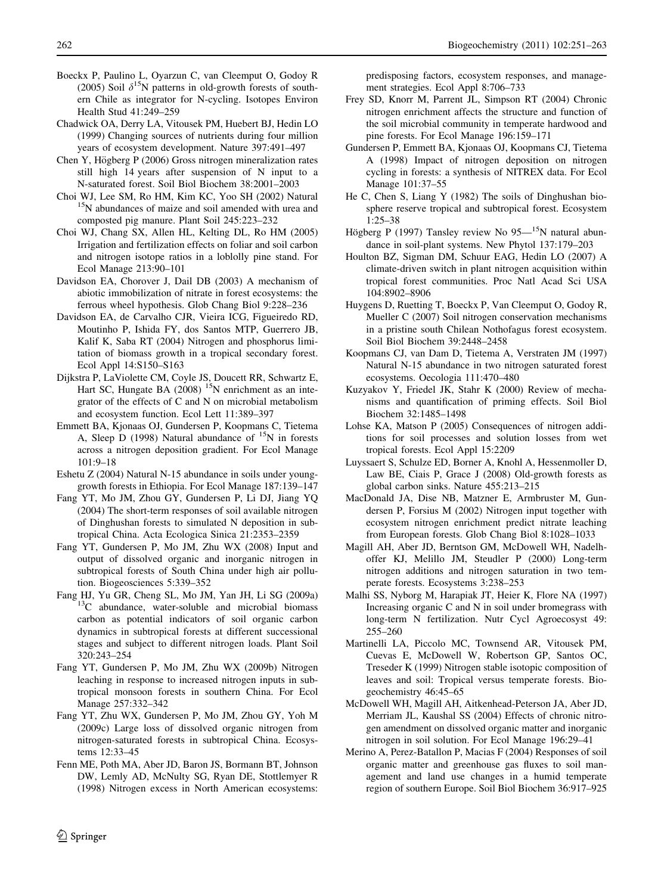- <span id="page-11-0"></span>Boeckx P, Paulino L, Oyarzun C, van Cleemput O, Godoy R (2005) Soil  $\delta^{15}N$  patterns in old-growth forests of southern Chile as integrator for N-cycling. Isotopes Environ Health Stud 41:249–259
- Chadwick OA, Derry LA, Vitousek PM, Huebert BJ, Hedin LO (1999) Changing sources of nutrients during four million years of ecosystem development. Nature 397:491–497
- Chen Y, Högberg P (2006) Gross nitrogen mineralization rates still high 14 years after suspension of N input to a N-saturated forest. Soil Biol Biochem 38:2001–2003
- Choi WJ, Lee SM, Ro HM, Kim KC, Yoo SH (2002) Natural <sup>15</sup>N abundances of maize and soil amended with urea and composted pig manure. Plant Soil 245:223–232
- Choi WJ, Chang SX, Allen HL, Kelting DL, Ro HM (2005) Irrigation and fertilization effects on foliar and soil carbon and nitrogen isotope ratios in a loblolly pine stand. For Ecol Manage 213:90–101
- Davidson EA, Chorover J, Dail DB (2003) A mechanism of abiotic immobilization of nitrate in forest ecosystems: the ferrous wheel hypothesis. Glob Chang Biol 9:228–236
- Davidson EA, de Carvalho CJR, Vieira ICG, Figueiredo RD, Moutinho P, Ishida FY, dos Santos MTP, Guerrero JB, Kalif K, Saba RT (2004) Nitrogen and phosphorus limitation of biomass growth in a tropical secondary forest. Ecol Appl 14:S150–S163
- Dijkstra P, LaViolette CM, Coyle JS, Doucett RR, Schwartz E, Hart SC, Hungate BA  $(2008)$  <sup>15</sup>N enrichment as an integrator of the effects of C and N on microbial metabolism and ecosystem function. Ecol Lett 11:389–397
- Emmett BA, Kjonaas OJ, Gundersen P, Koopmans C, Tietema A, Sleep D (1998) Natural abundance of  $^{15}N$  in forests across a nitrogen deposition gradient. For Ecol Manage 101:9–18
- Eshetu Z (2004) Natural N-15 abundance in soils under younggrowth forests in Ethiopia. For Ecol Manage 187:139–147
- Fang YT, Mo JM, Zhou GY, Gundersen P, Li DJ, Jiang YQ (2004) The short-term responses of soil available nitrogen of Dinghushan forests to simulated N deposition in subtropical China. Acta Ecologica Sinica 21:2353–2359
- Fang YT, Gundersen P, Mo JM, Zhu WX (2008) Input and output of dissolved organic and inorganic nitrogen in subtropical forests of South China under high air pollution. Biogeosciences 5:339–352
- Fang HJ, Yu GR, Cheng SL, Mo JM, Yan JH, Li SG (2009a) <sup>13</sup>C abundance, water-soluble and microbial biomass carbon as potential indicators of soil organic carbon dynamics in subtropical forests at different successional stages and subject to different nitrogen loads. Plant Soil 320:243–254
- Fang YT, Gundersen P, Mo JM, Zhu WX (2009b) Nitrogen leaching in response to increased nitrogen inputs in subtropical monsoon forests in southern China. For Ecol Manage 257:332–342
- Fang YT, Zhu WX, Gundersen P, Mo JM, Zhou GY, Yoh M (2009c) Large loss of dissolved organic nitrogen from nitrogen-saturated forests in subtropical China. Ecosystems 12:33–45
- Fenn ME, Poth MA, Aber JD, Baron JS, Bormann BT, Johnson DW, Lemly AD, McNulty SG, Ryan DE, Stottlemyer R (1998) Nitrogen excess in North American ecosystems:

predisposing factors, ecosystem responses, and management strategies. Ecol Appl 8:706–733

- Frey SD, Knorr M, Parrent JL, Simpson RT (2004) Chronic nitrogen enrichment affects the structure and function of the soil microbial community in temperate hardwood and pine forests. For Ecol Manage 196:159–171
- Gundersen P, Emmett BA, Kjonaas OJ, Koopmans CJ, Tietema A (1998) Impact of nitrogen deposition on nitrogen cycling in forests: a synthesis of NITREX data. For Ecol Manage 101:37–55
- He C, Chen S, Liang Y (1982) The soils of Dinghushan biosphere reserve tropical and subtropical forest. Ecosystem 1:25–38
- Högberg P (1997) Tansley review No  $95-^{15}N$  natural abundance in soil-plant systems. New Phytol 137:179–203
- Houlton BZ, Sigman DM, Schuur EAG, Hedin LO (2007) A climate-driven switch in plant nitrogen acquisition within tropical forest communities. Proc Natl Acad Sci USA 104:8902–8906
- Huygens D, Ruetting T, Boeckx P, Van Cleemput O, Godoy R, Mueller C (2007) Soil nitrogen conservation mechanisms in a pristine south Chilean Nothofagus forest ecosystem. Soil Biol Biochem 39:2448–2458
- Koopmans CJ, van Dam D, Tietema A, Verstraten JM (1997) Natural N-15 abundance in two nitrogen saturated forest ecosystems. Oecologia 111:470–480
- Kuzyakov Y, Friedel JK, Stahr K (2000) Review of mechanisms and quantification of priming effects. Soil Biol Biochem 32:1485–1498
- Lohse KA, Matson P (2005) Consequences of nitrogen additions for soil processes and solution losses from wet tropical forests. Ecol Appl 15:2209
- Luyssaert S, Schulze ED, Borner A, Knohl A, Hessenmoller D, Law BE, Ciais P, Grace J (2008) Old-growth forests as global carbon sinks. Nature 455:213–215
- MacDonald JA, Dise NB, Matzner E, Armbruster M, Gundersen P, Forsius M (2002) Nitrogen input together with ecosystem nitrogen enrichment predict nitrate leaching from European forests. Glob Chang Biol 8:1028–1033
- Magill AH, Aber JD, Berntson GM, McDowell WH, Nadelhoffer KJ, Melillo JM, Steudler P (2000) Long-term nitrogen additions and nitrogen saturation in two temperate forests. Ecosystems 3:238–253
- Malhi SS, Nyborg M, Harapiak JT, Heier K, Flore NA (1997) Increasing organic C and N in soil under bromegrass with long-term N fertilization. Nutr Cycl Agroecosyst 49: 255–260
- Martinelli LA, Piccolo MC, Townsend AR, Vitousek PM, Cuevas E, McDowell W, Robertson GP, Santos OC, Treseder K (1999) Nitrogen stable isotopic composition of leaves and soil: Tropical versus temperate forests. Biogeochemistry 46:45–65
- McDowell WH, Magill AH, Aitkenhead-Peterson JA, Aber JD, Merriam JL, Kaushal SS (2004) Effects of chronic nitrogen amendment on dissolved organic matter and inorganic nitrogen in soil solution. For Ecol Manage 196:29–41
- Merino A, Perez-Batallon P, Macias F (2004) Responses of soil organic matter and greenhouse gas fluxes to soil management and land use changes in a humid temperate region of southern Europe. Soil Biol Biochem 36:917–925